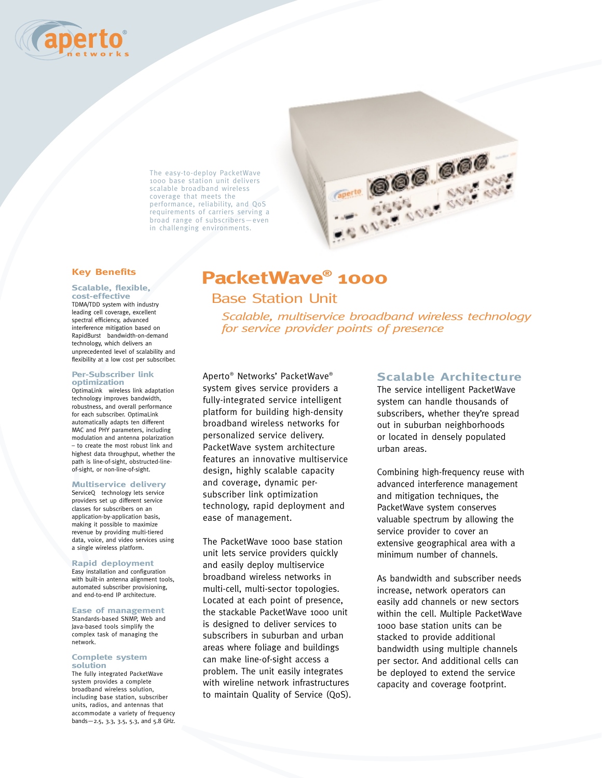

The easy-to-deploy PacketWave 1000 base station unit delivers scalable broadband wireless coverage that meets the performance, reliability, and QoS requirements of carriers serving a broad range of subscribers—even in challenging environments.

# **Key Benefits**

#### **Scalable, flexible, cost-effective**

TDMA/TDD system with industry leading cell coverage, excellent spectral efficiency, advanced interference mitigation based on RapidBurst<sup>®</sup> bandwidth-on-demand technology, which delivers an unprecedented level of scalability and flexibility at a low cost per subscriber.

#### **Per-Subscriber link optimization**

OptimaLink<sup>®</sup> wireless link adaptation technology improves bandwidth, robustness, and overall performance for each subscriber. OptimaLink automatically adapts ten different MAC and PHY parameters, including modulation and antenna polarization – to create the most robust link and highest data throughput, whether the path is line-of-sight, obstructed-lineof-sight, or non-line-of-sight.

## **Multiservice delivery**

ServiceQ<sup>®</sup> technology lets service providers set up different service classes for subscribers on an application-by-application basis, making it possible to maximize revenue by providing multi-tiered data, voice, and video services using a single wireless platform.

## **Rapid deployment**

Easy installation and configuration with built-in antenna alignment tools, automated subscriber provisioning, and end-to-end IP architecture.

#### **Ease of management**

Standards-based SNMP, Web and Java-based tools simplify the complex task of managing the network.

#### **Complete system solution**

The fully integrated PacketWave system provides a complete broadband wireless solution, including base station, subscriber units, radios, and antennas that accommodate a variety of frequency bands—2.5, 3.3, 3.5, 5.3, and 5.8 GHz.

# **PacketWave® 1000**

# Base Station Unit

*Scalable, multiservice broadband wireless technology for service provider points of presence*

**ERE 600** 

Aperto® Networks' PacketWave® system gives service providers a fully-integrated service intelligent platform for building high-density broadband wireless networks for personalized service delivery. PacketWave system architecture features an innovative multiservice design, highly scalable capacity and coverage, dynamic persubscriber link optimization technology, rapid deployment and ease of management.

The PacketWave 1000 base station unit lets service providers quickly and easily deploy multiservice broadband wireless networks in multi-cell, multi-sector topologies. Located at each point of presence, the stackable PacketWave 1000 unit is designed to deliver services to subscribers in suburban and urban areas where foliage and buildings can make line-of-sight access a problem. The unit easily integrates with wireline network infrastructures to maintain Quality of Service (QoS).

# **Scalable Architecture**

The service intelligent PacketWave system can handle thousands of subscribers, whether they're spread out in suburban neighborhoods or located in densely populated urban areas.

Combining high-frequency reuse with advanced interference management and mitigation techniques, the PacketWave system conserves valuable spectrum by allowing the service provider to cover an extensive geographical area with a minimum number of channels.

As bandwidth and subscriber needs increase, network operators can easily add channels or new sectors within the cell. Multiple PacketWave 1000 base station units can be stacked to provide additional bandwidth using multiple channels per sector. And additional cells can be deployed to extend the service capacity and coverage footprint.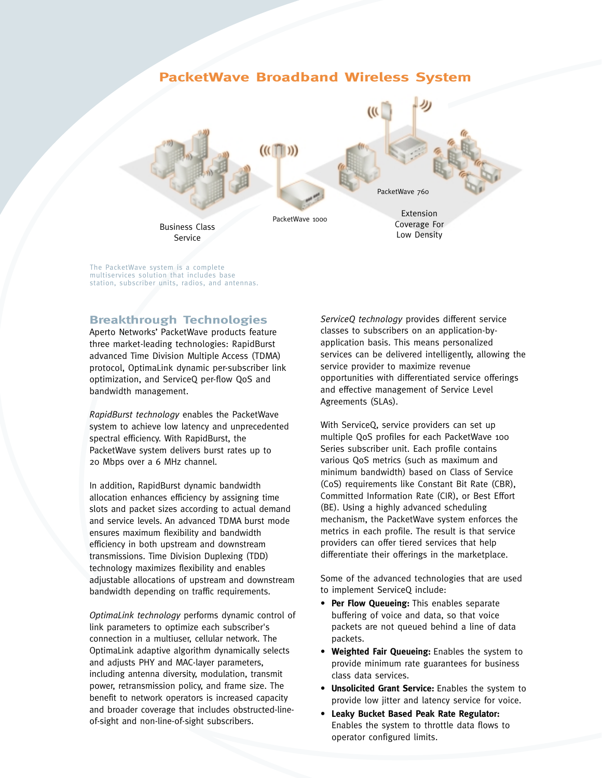# **PacketWave Broadband Wireless System**   $((([T]))$ PacketWave 760 Extension PacketWave 1000 Coverage For Business Class Low DensityService

The PacketWave system is a complete multiservices solution that includes base station, subscriber units, radios, and antennas.

# **Breakthrough Technologies**

Aperto Networks' PacketWave products feature three market-leading technologies: RapidBurst advanced Time Division Multiple Access (TDMA) protocol, OptimaLink dynamic per-subscriber link optimization, and ServiceQ per-flow QoS and bandwidth management.

*RapidBurst technology* enables the PacketWave system to achieve low latency and unprecedented spectral efficiency. With RapidBurst, the PacketWave system delivers burst rates up to 20 Mbps over a 6 MHz channel.

In addition, RapidBurst dynamic bandwidth allocation enhances efficiency by assigning time slots and packet sizes according to actual demand and service levels. An advanced TDMA burst mode ensures maximum flexibility and bandwidth efficiency in both upstream and downstream transmissions. Time Division Duplexing (TDD) technology maximizes flexibility and enables adjustable allocations of upstream and downstream bandwidth depending on traffic requirements.

*OptimaLink technology* performs dynamic control of link parameters to optimize each subscriber's connection in a multiuser, cellular network. The OptimaLink adaptive algorithm dynamically selects and adjusts PHY and MAC-layer parameters, including antenna diversity, modulation, transmit power, retransmission policy, and frame size. The benefit to network operators is increased capacity and broader coverage that includes obstructed-lineof-sight and non-line-of-sight subscribers.

*ServiceQ technology* provides different service classes to subscribers on an application-byapplication basis. This means personalized services can be delivered intelligently, allowing the service provider to maximize revenue opportunities with differentiated service offerings and effective management of Service Level Agreements (SLAs).

With ServiceQ, service providers can set up multiple QoS profiles for each PacketWave 100 Series subscriber unit. Each profile contains various QoS metrics (such as maximum and minimum bandwidth) based on Class of Service (CoS) requirements like Constant Bit Rate (CBR), Committed Information Rate (CIR), or Best Effort (BE). Using a highly advanced scheduling mechanism, the PacketWave system enforces the metrics in each profile. The result is that service providers can offer tiered services that help differentiate their offerings in the marketplace.

Some of the advanced technologies that are used to implement ServiceQ include:

- **Per Flow Queueing:** This enables separate buffering of voice and data, so that voice packets are not queued behind a line of data packets.
- **Weighted Fair Queueing:** Enables the system to provide minimum rate guarantees for business class data services.
- **Unsolicited Grant Service:** Enables the system to provide low jitter and latency service for voice.
- **Leaky Bucket Based Peak Rate Regulator:** Enables the system to throttle data flows to operator configured limits.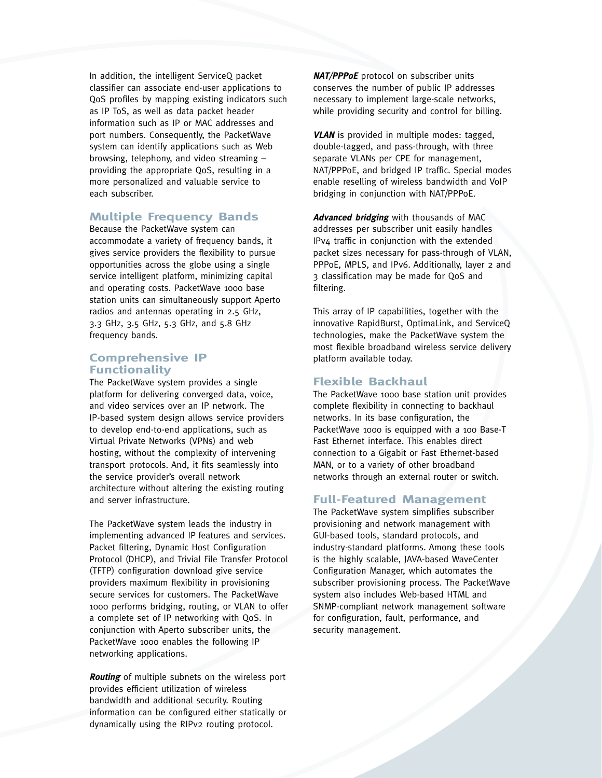In addition, the intelligent ServiceQ packet classifier can associate end-user applications to QoS profiles by mapping existing indicators such as IP ToS, as well as data packet header information such as IP or MAC addresses and port numbers. Consequently, the PacketWave system can identify applications such as Web browsing, telephony, and video streaming – providing the appropriate QoS, resulting in a more personalized and valuable service to each subscriber.

# **Multiple Frequency Bands**

Because the PacketWave system can accommodate a variety of frequency bands, it gives service providers the flexibility to pursue opportunities across the globe using a single service intelligent platform, minimizing capital and operating costs. PacketWave 1000 base station units can simultaneously support Aperto radios and antennas operating in 2.5 GHz, 3.3 GHz, 3.5 GHz, 5.3 GHz, and 5.8 GHz frequency bands.

# **Comprehensive IP Functionality**

The PacketWave system provides a single platform for delivering converged data, voice, and video services over an IP network. The IP-based system design allows service providers to develop end-to-end applications, such as Virtual Private Networks (VPNs) and web hosting, without the complexity of intervening transport protocols. And, it fits seamlessly into the service provider's overall network architecture without altering the existing routing and server infrastructure.

The PacketWave system leads the industry in implementing advanced IP features and services. Packet filtering, Dynamic Host Configuration Protocol (DHCP), and Trivial File Transfer Protocol (TFTP) configuration download give service providers maximum flexibility in provisioning secure services for customers. The PacketWave 1000 performs bridging, routing, or VLAN to offer a complete set of IP networking with QoS. In conjunction with Aperto subscriber units, the PacketWave 1000 enables the following IP networking applications.

**Routing** of multiple subnets on the wireless port provides efficient utilization of wireless bandwidth and additional security. Routing information can be configured either statically or dynamically using the RIPv2 routing protocol.

**NAT/PPPoE** protocol on subscriber units conserves the number of public IP addresses necessary to implement large-scale networks, while providing security and control for billing.

**VLAN** is provided in multiple modes: tagged, double-tagged, and pass-through, with three separate VLANs per CPE for management, NAT/PPPoE, and bridged IP traffic. Special modes enable reselling of wireless bandwidth and VoIP bridging in conjunction with NAT/PPPoE.

**Advanced bridging** with thousands of MAC addresses per subscriber unit easily handles IPv4 traffic in conjunction with the extended packet sizes necessary for pass-through of VLAN, PPPoE, MPLS, and IPv6. Additionally, layer 2 and 3 classification may be made for QoS and filtering.

This array of IP capabilities, together with the innovative RapidBurst, OptimaLink, and ServiceQ technologies, make the PacketWave system the most flexible broadband wireless service delivery platform available today.

# **Flexible Backhaul**

The PacketWave 1000 base station unit provides complete flexibility in connecting to backhaul networks. In its base configuration, the PacketWave 1000 is equipped with a 100 Base-T Fast Ethernet interface. This enables direct connection to a Gigabit or Fast Ethernet-based MAN, or to a variety of other broadband networks through an external router or switch.

# **Full-Featured Management**

The PacketWave system simplifies subscriber provisioning and network management with GUI-based tools, standard protocols, and industry-standard platforms. Among these tools is the highly scalable, JAVA-based WaveCenter Configuration Manager, which automates the subscriber provisioning process. The PacketWave system also includes Web-based HTML and SNMP-compliant network management software for configuration, fault, performance, and security management.